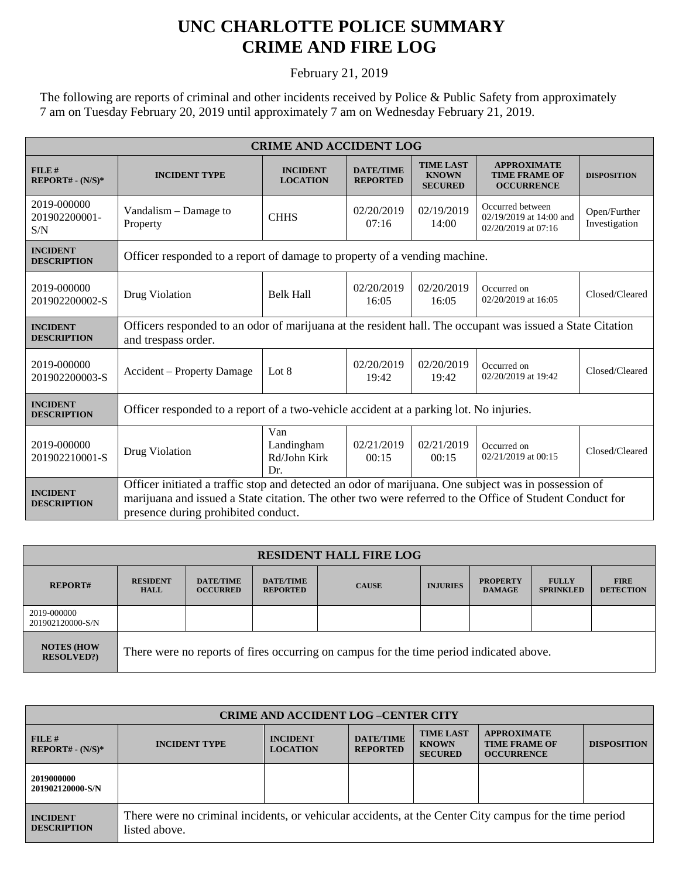## **UNC CHARLOTTE POLICE SUMMARY CRIME AND FIRE LOG**

February 21, 2019

The following are reports of criminal and other incidents received by Police & Public Safety from approximately 7 am on Tuesday February 20, 2019 until approximately 7 am on Wednesday February 21, 2019.

| <b>CRIME AND ACCIDENT LOG</b>         |                                                                                                                                                                                                                                                        |                                          |                                     |                                                    |                                                                    |                               |  |  |
|---------------------------------------|--------------------------------------------------------------------------------------------------------------------------------------------------------------------------------------------------------------------------------------------------------|------------------------------------------|-------------------------------------|----------------------------------------------------|--------------------------------------------------------------------|-------------------------------|--|--|
| FILE#<br>$REPORT# - (N/S)*$           | <b>INCIDENT TYPE</b>                                                                                                                                                                                                                                   | <b>INCIDENT</b><br><b>LOCATION</b>       | <b>DATE/TIME</b><br><b>REPORTED</b> | <b>TIME LAST</b><br><b>KNOWN</b><br><b>SECURED</b> | <b>APPROXIMATE</b><br><b>TIME FRAME OF</b><br><b>OCCURRENCE</b>    | <b>DISPOSITION</b>            |  |  |
| 2019-000000<br>201902200001-<br>S/N   | Vandalism – Damage to<br>Property                                                                                                                                                                                                                      | <b>CHHS</b>                              | 02/20/2019<br>07:16                 | 02/19/2019<br>14:00                                | Occurred between<br>02/19/2019 at 14:00 and<br>02/20/2019 at 07:16 | Open/Further<br>Investigation |  |  |
| <b>INCIDENT</b><br><b>DESCRIPTION</b> | Officer responded to a report of damage to property of a vending machine.                                                                                                                                                                              |                                          |                                     |                                                    |                                                                    |                               |  |  |
| 2019-000000<br>201902200002-S         | Drug Violation                                                                                                                                                                                                                                         | <b>Belk Hall</b>                         | 02/20/2019<br>16:05                 | 02/20/2019<br>16:05                                | Occurred on<br>02/20/2019 at 16:05                                 | Closed/Cleared                |  |  |
| <b>INCIDENT</b><br><b>DESCRIPTION</b> | Officers responded to an odor of marijuana at the resident hall. The occupant was issued a State Citation<br>and trespass order.                                                                                                                       |                                          |                                     |                                                    |                                                                    |                               |  |  |
| 2019-000000<br>201902200003-S         | Accident – Property Damage                                                                                                                                                                                                                             | Lot 8                                    | 02/20/2019<br>19:42                 | 02/20/2019<br>19:42                                | Occurred on<br>02/20/2019 at 19:42                                 | Closed/Cleared                |  |  |
| <b>INCIDENT</b><br><b>DESCRIPTION</b> | Officer responded to a report of a two-vehicle accident at a parking lot. No injuries.                                                                                                                                                                 |                                          |                                     |                                                    |                                                                    |                               |  |  |
| 2019-000000<br>201902210001-S         | Drug Violation                                                                                                                                                                                                                                         | Van<br>Landingham<br>Rd/John Kirk<br>Dr. | 02/21/2019<br>00:15                 | 02/21/2019<br>00:15                                | Occurred on<br>02/21/2019 at 00:15                                 | Closed/Cleared                |  |  |
| <b>INCIDENT</b><br><b>DESCRIPTION</b> | Officer initiated a traffic stop and detected an odor of marijuana. One subject was in possession of<br>marijuana and issued a State citation. The other two were referred to the Office of Student Conduct for<br>presence during prohibited conduct. |                                          |                                     |                                                    |                                                                    |                               |  |  |

| <b>RESIDENT HALL FIRE LOG</b>          |                                                                                         |                                     |                                     |              |                 |                                  |                                  |                                 |
|----------------------------------------|-----------------------------------------------------------------------------------------|-------------------------------------|-------------------------------------|--------------|-----------------|----------------------------------|----------------------------------|---------------------------------|
| <b>REPORT#</b>                         | <b>RESIDENT</b><br><b>HALL</b>                                                          | <b>DATE/TIME</b><br><b>OCCURRED</b> | <b>DATE/TIME</b><br><b>REPORTED</b> | <b>CAUSE</b> | <b>INJURIES</b> | <b>PROPERTY</b><br><b>DAMAGE</b> | <b>FULLY</b><br><b>SPRINKLED</b> | <b>FIRE</b><br><b>DETECTION</b> |
| 2019-000000<br>201902120000-S/N        |                                                                                         |                                     |                                     |              |                 |                                  |                                  |                                 |
| <b>NOTES (HOW</b><br><b>RESOLVED?)</b> | There were no reports of fires occurring on campus for the time period indicated above. |                                     |                                     |              |                 |                                  |                                  |                                 |

| <b>CRIME AND ACCIDENT LOG-CENTER CITY</b> |                                                                                                                          |                                    |                                     |                                                    |                                                                 |                    |
|-------------------------------------------|--------------------------------------------------------------------------------------------------------------------------|------------------------------------|-------------------------------------|----------------------------------------------------|-----------------------------------------------------------------|--------------------|
| FILE#<br>$REPORT# - (N/S)*$               | <b>INCIDENT TYPE</b>                                                                                                     | <b>INCIDENT</b><br><b>LOCATION</b> | <b>DATE/TIME</b><br><b>REPORTED</b> | <b>TIME LAST</b><br><b>KNOWN</b><br><b>SECURED</b> | <b>APPROXIMATE</b><br><b>TIME FRAME OF</b><br><b>OCCURRENCE</b> | <b>DISPOSITION</b> |
| 2019000000<br>201902120000-S/N            |                                                                                                                          |                                    |                                     |                                                    |                                                                 |                    |
| <b>INCIDENT</b><br><b>DESCRIPTION</b>     | There were no criminal incidents, or vehicular accidents, at the Center City campus for the time period<br>listed above. |                                    |                                     |                                                    |                                                                 |                    |